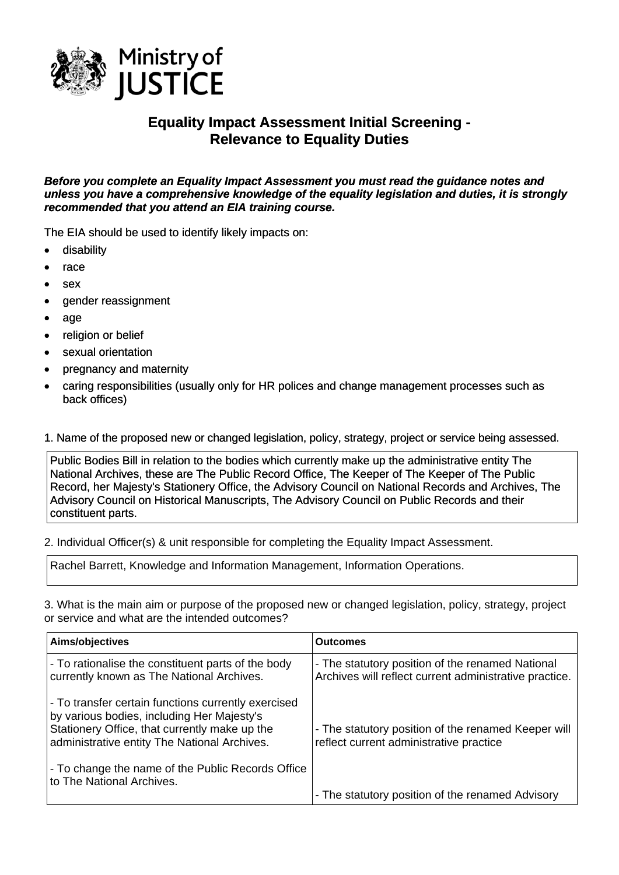

## **Equality Impact Assessment Initial Screening - Relevance to Equality Duties**

*Before you complete an Equality Impact Assessment you must read the guidance notes and unless you have a comprehensive knowledge of the equality legislation and duties, it is strongly recommended that you attend an EIA training course.* 

The EIA should be used to identify likely impacts on:

- disability
- race
- sex
- gender reassignment
- age
- religion or belief
- sexual orientation
- pregnancy and maternity
- caring responsibilities (usually only for HR polices and change management processes such as back offices)

## 1. Name of the proposed new or changed legislation, policy, strategy, project or service being assessed.

Public Bodies Bill in relation to the bodies which currently make up the administrative entity The National Archives, these are The Public Record Office, The Keeper of The Keeper of The Public Record, her Majesty's Stationery Office, the Advisory Council on National Records and Archives, The Advisory Council on Historical Manuscripts, The Advisory Council on Public Records and their constituent parts.

2. Individual Officer(s) & unit responsible for completing the Equality Impact Assessment.

Rachel Barrett, Knowledge and Information Management, Information Operations.

3. What is the main aim or purpose of the proposed new or changed legislation, policy, strategy, project or service and what are the intended outcomes?

| Aims/objectives                                                                                                                                                                                    | <b>Outcomes</b>                                                                                            |
|----------------------------------------------------------------------------------------------------------------------------------------------------------------------------------------------------|------------------------------------------------------------------------------------------------------------|
| - To rationalise the constituent parts of the body<br>currently known as The National Archives.                                                                                                    | - The statutory position of the renamed National<br>Archives will reflect current administrative practice. |
| - To transfer certain functions currently exercised<br>by various bodies, including Her Majesty's<br>Stationery Office, that currently make up the<br>administrative entity The National Archives. | - The statutory position of the renamed Keeper will<br>reflect current administrative practice             |
| - To change the name of the Public Records Office<br>to The National Archives.                                                                                                                     | - The statutory position of the renamed Advisory                                                           |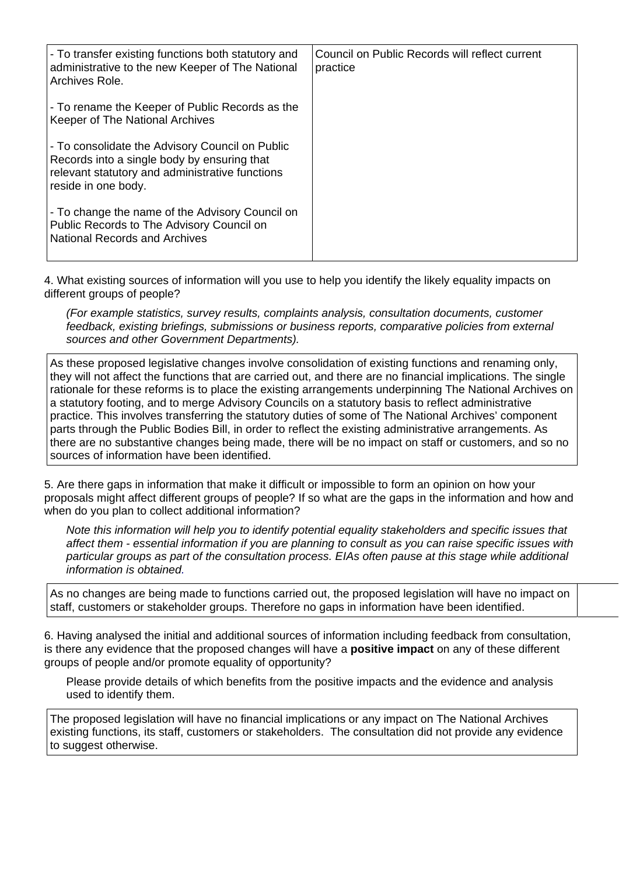| - To transfer existing functions both statutory and<br>administrative to the new Keeper of The National<br>Archives Role.                                                | Council on Public Records will reflect current<br>practice |
|--------------------------------------------------------------------------------------------------------------------------------------------------------------------------|------------------------------------------------------------|
| - To rename the Keeper of Public Records as the<br>Keeper of The National Archives                                                                                       |                                                            |
| - To consolidate the Advisory Council on Public<br>Records into a single body by ensuring that<br>relevant statutory and administrative functions<br>reside in one body. |                                                            |
| - To change the name of the Advisory Council on<br>Public Records to The Advisory Council on<br><b>National Records and Archives</b>                                     |                                                            |

4. What existing sources of information will you use to help you identify the likely equality impacts on different groups of people?

*(For example statistics, survey results, complaints analysis, consultation documents, customer feedback, existing briefings, submissions or business reports, comparative policies from external sources and other Government Departments).* 

As these proposed legislative changes involve consolidation of existing functions and renaming only, they will not affect the functions that are carried out, and there are no financial implications. The single rationale for these reforms is to place the existing arrangements underpinning The National Archives on a statutory footing, and to merge Advisory Councils on a statutory basis to reflect administrative practice. This involves transferring the statutory duties of some of The National Archives' component parts through the Public Bodies Bill, in order to reflect the existing administrative arrangements. As there are no substantive changes being made, there will be no impact on staff or customers, and so no sources of information have been identified.

5. Are there gaps in information that make it difficult or impossible to form an opinion on how your proposals might affect different groups of people? If so what are the gaps in the information and how and when do you plan to collect additional information?

*Note this information will help you to identify potential equality stakeholders and specific issues that affect them - essential information if you are planning to consult as you can raise specific issues with particular groups as part of the consultation process. EIAs often pause at this stage while additional information is obtained.*

As no changes are being made to functions carried out, the proposed legislation will have no impact on staff, customers or stakeholder groups. Therefore no gaps in information have been identified.

6. Having analysed the initial and additional sources of information including feedback from consultation, is there any evidence that the proposed changes will have a **positive impact** on any of these different groups of people and/or promote equality of opportunity?

Please provide details of which benefits from the positive impacts and the evidence and analysis used to identify them.

The proposed legislation will have no financial implications or any impact on The National Archives existing functions, its staff, customers or stakeholders. The consultation did not provide any evidence to suggest otherwise.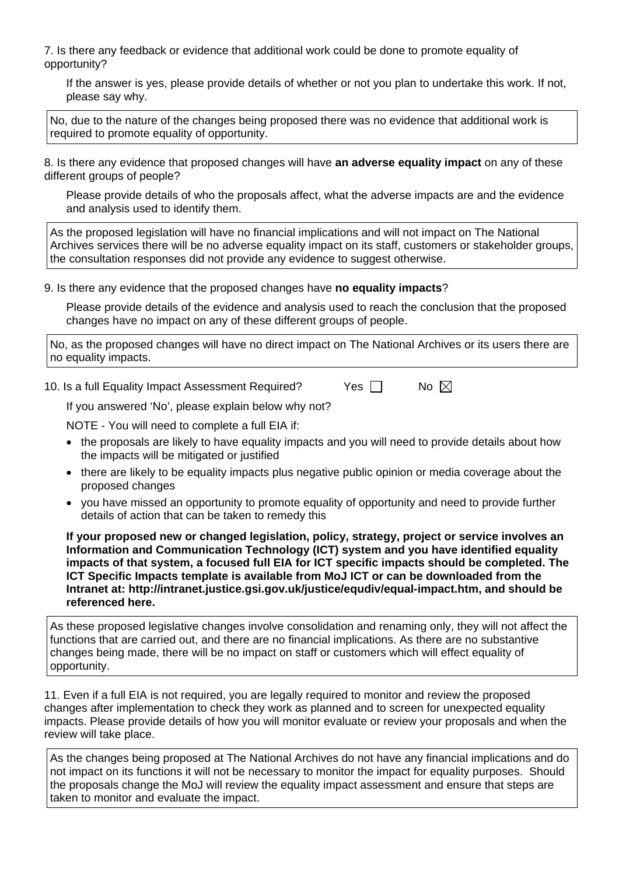7. Is there any feedback or evidence that additional work could be done to promote equality of opportunity?

If the answer is yes, please provide details of whether or not you plan to undertake this work. If not, please say why.

No, due to the nature of the changes being proposed there was no evidence that additional work is required to promote equality of opportunity.

8. Is there any evidence that proposed changes will have **an adverse equality impact** on any of these different groups of people?

Please provide details of who the proposals affect, what the adverse impacts are and the evidence and analysis used to identify them.

As the proposed legislation will have no financial implications and will not impact on The National Archives services there will be no adverse equality impact on its staff, customers or stakeholder groups, the consultation responses did not provide any evidence to suggest otherwise.

9. Is there any evidence that the proposed changes have **no equality impacts**?

Please provide details of the evidence and analysis used to reach the conclusion that the proposed changes have no impact on any of these different groups of people.

No, as the proposed changes will have no direct impact on The National Archives or its users there are no equality impacts.

10. Is a full Equality Impact Assessment Required?  $\Box$  Yes  $\Box$  No  $\boxtimes$ 

If you answered 'No', please explain below why not?

NOTE - You will need to complete a full EIA if:

- the proposals are likely to have equality impacts and you will need to provide details about how the impacts will be mitigated or justified
- there are likely to be equality impacts plus negative public opinion or media coverage about the proposed changes
- you have missed an opportunity to promote equality of opportunity and need to provide further details of action that can be taken to remedy this

**If your proposed new or changed legislation, policy, strategy, project or service involves an Information and Communication Technology (ICT) system and you have identified equality impacts of that system, a focused full EIA for ICT specific impacts should be completed. The ICT Specific Impacts template is available from MoJ ICT or can be downloaded from the Intranet at: <http://intranet.justice.gsi.gov.uk/justice/equdiv/equal-impact.htm>, and should be referenced here.** 

As these proposed legislative changes involve consolidation and renaming only, they will not affect the functions that are carried out, and there are no financial implications. As there are no substantive changes being made, there will be no impact on staff or customers which will effect equality of opportunity.

11. Even if a full EIA is not required, you are legally required to monitor and review the proposed changes after implementation to check they work as planned and to screen for unexpected equality impacts. Please provide details of how you will monitor evaluate or review your proposals and when the review will take place.

As the changes being proposed at The National Archives do not have any financial implications and do not impact on its functions it will not be necessary to monitor the impact for equality purposes. Should the proposals change the MoJ will review the equality impact assessment and ensure that steps are taken to monitor and evaluate the impact.